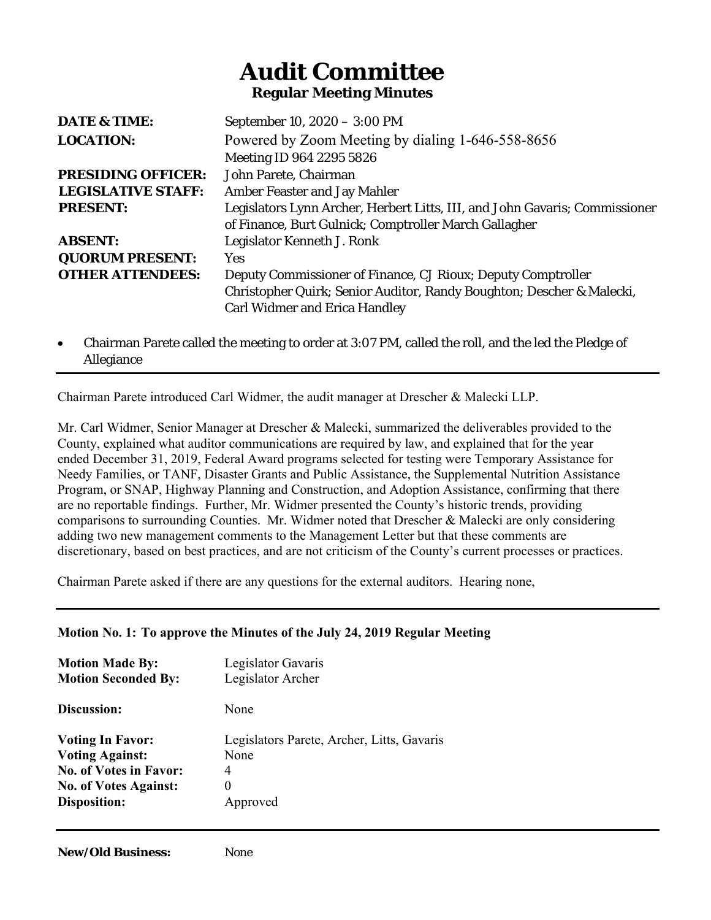# **Audit Committee Regular Meeting Minutes**

| DATE & TIME:              | September 10, 2020 - 3:00 PM                                                |
|---------------------------|-----------------------------------------------------------------------------|
| <b>LOCATION:</b>          | Powered by Zoom Meeting by dialing 1-646-558-8656                           |
|                           | Meeting ID 964 2295 5826                                                    |
| <b>PRESIDING OFFICER:</b> | John Parete, Chairman                                                       |
| <b>LEGISLATIVE STAFF:</b> | <b>Amber Feaster and Jay Mahler</b>                                         |
| <b>PRESENT:</b>           | Legislators Lynn Archer, Herbert Litts, III, and John Gavaris; Commissioner |
|                           | of Finance, Burt Gulnick; Comptroller March Gallagher                       |
| <b>ABSENT:</b>            | Legislator Kenneth J. Ronk                                                  |
| <b>QUORUM PRESENT:</b>    | Yes.                                                                        |
| <b>OTHER ATTENDEES:</b>   | Deputy Commissioner of Finance, CJ Rioux; Deputy Comptroller                |
|                           | Christopher Quirk; Senior Auditor, Randy Boughton; Descher & Malecki,       |
|                           | <b>Carl Widmer and Erica Handley</b>                                        |
|                           |                                                                             |

 Chairman Parete called the meeting to order at 3:07 PM, called the roll, and the led the Pledge of Allegiance

Chairman Parete introduced Carl Widmer, the audit manager at Drescher & Malecki LLP.

Mr. Carl Widmer, Senior Manager at Drescher & Malecki, summarized the deliverables provided to the County, explained what auditor communications are required by law, and explained that for the year ended December 31, 2019, Federal Award programs selected for testing were Temporary Assistance for Needy Families, or TANF, Disaster Grants and Public Assistance, the Supplemental Nutrition Assistance Program, or SNAP, Highway Planning and Construction, and Adoption Assistance, confirming that there are no reportable findings. Further, Mr. Widmer presented the County's historic trends, providing comparisons to surrounding Counties. Mr. Widmer noted that Drescher & Malecki are only considering adding two new management comments to the Management Letter but that these comments are discretionary, based on best practices, and are not criticism of the County's current processes or practices.

Chairman Parete asked if there are any questions for the external auditors. Hearing none,

## **Motion No. 1: To approve the Minutes of the July 24, 2019 Regular Meeting**

| <b>Motion Made By:</b>        | Legislator Gavaris                         |
|-------------------------------|--------------------------------------------|
| <b>Motion Seconded By:</b>    | Legislator Archer                          |
| Discussion:                   | None                                       |
| <b>Voting In Favor:</b>       | Legislators Parete, Archer, Litts, Gavaris |
| <b>Voting Against:</b>        | None                                       |
| <b>No. of Votes in Favor:</b> | 4                                          |
| <b>No. of Votes Against:</b>  | $\theta$                                   |
| Disposition:                  | Approved                                   |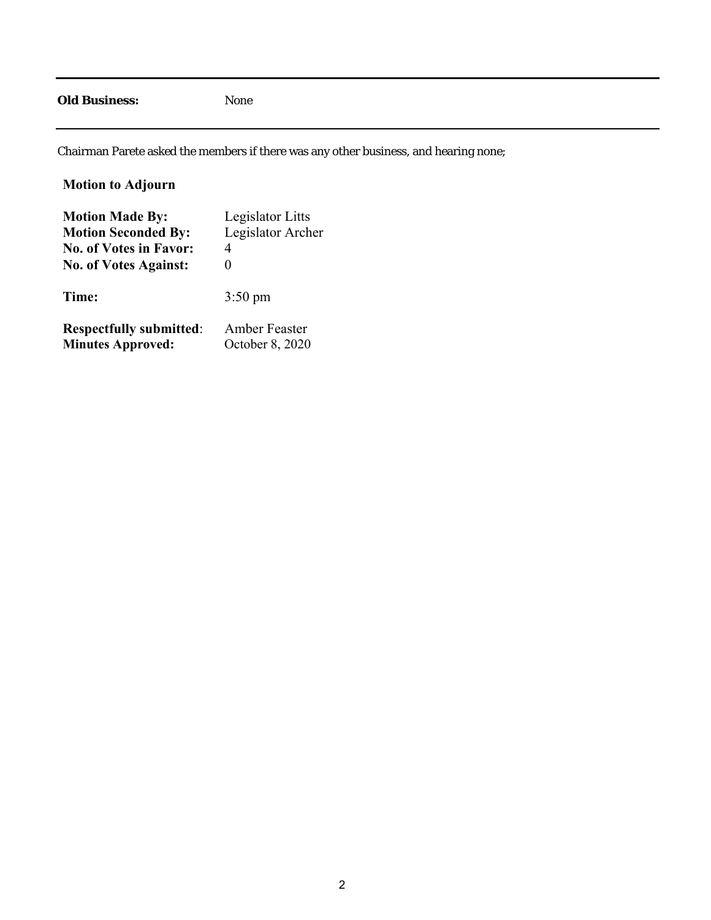### **Old Business:** None

Chairman Parete asked the members if there was any other business, and hearing none;

| <b>Motion to Adjourn</b>       |                   |
|--------------------------------|-------------------|
| <b>Motion Made By:</b>         | Legislator Litts  |
| <b>Motion Seconded By:</b>     | Legislator Archer |
| <b>No. of Votes in Favor:</b>  | 4                 |
| <b>No. of Votes Against:</b>   | 0                 |
| Time:                          | $3:50 \text{ pm}$ |
| <b>Respectfully submitted:</b> | Amber Feaster     |
| <b>Minutes Approved:</b>       | October 8, 2020   |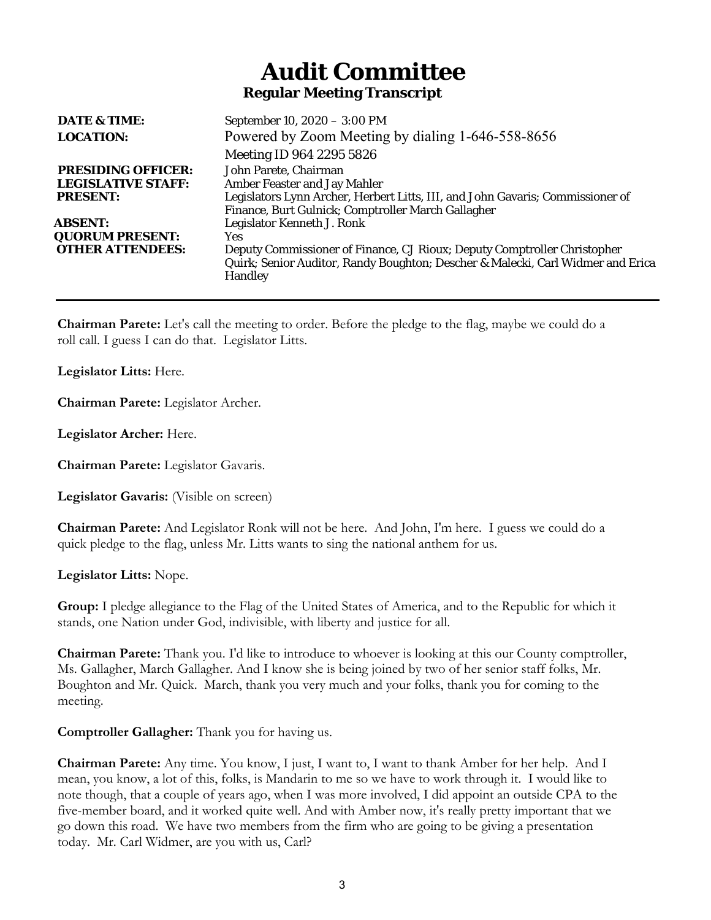# **Audit Committee Regular Meeting Transcript**

| DATE & TIME:              | September 10, 2020 - 3:00 PM                                                                                                                                                  |
|---------------------------|-------------------------------------------------------------------------------------------------------------------------------------------------------------------------------|
| <b>LOCATION:</b>          | Powered by Zoom Meeting by dialing 1-646-558-8656                                                                                                                             |
|                           | Meeting ID 964 2295 5826                                                                                                                                                      |
| <b>PRESIDING OFFICER:</b> | John Parete, Chairman                                                                                                                                                         |
| <b>LEGISLATIVE STAFF:</b> | <b>Amber Feaster and Jay Mahler</b>                                                                                                                                           |
| <b>PRESENT:</b>           | Legislators Lynn Archer, Herbert Litts, III, and John Gavaris; Commissioner of                                                                                                |
|                           | Finance, Burt Gulnick; Comptroller March Gallagher                                                                                                                            |
| <b>ABSENT:</b>            | Legislator Kenneth J. Ronk                                                                                                                                                    |
| <b>QUORUM PRESENT:</b>    | Yes.                                                                                                                                                                          |
| <b>OTHER ATTENDEES:</b>   | Deputy Commissioner of Finance, CJ Rioux; Deputy Comptroller Christopher<br>Quirk; Senior Auditor, Randy Boughton; Descher & Malecki, Carl Widmer and Erica<br><b>Handley</b> |
|                           |                                                                                                                                                                               |

**Chairman Parete:** Let's call the meeting to order. Before the pledge to the flag, maybe we could do a roll call. I guess I can do that. Legislator Litts.

**Legislator Litts:** Here.

**Chairman Parete:** Legislator Archer.

**Legislator Archer:** Here.

**Chairman Parete:** Legislator Gavaris.

**Legislator Gavaris:** (Visible on screen)

**Chairman Parete:** And Legislator Ronk will not be here. And John, I'm here. I guess we could do a quick pledge to the flag, unless Mr. Litts wants to sing the national anthem for us.

**Legislator Litts:** Nope.

**Group:** I pledge allegiance to the Flag of the United States of America, and to the Republic for which it stands, one Nation under God, indivisible, with liberty and justice for all.

**Chairman Parete:** Thank you. I'd like to introduce to whoever is looking at this our County comptroller, Ms. Gallagher, March Gallagher. And I know she is being joined by two of her senior staff folks, Mr. Boughton and Mr. Quick. March, thank you very much and your folks, thank you for coming to the meeting.

**Comptroller Gallagher:** Thank you for having us.

**Chairman Parete:** Any time. You know, I just, I want to, I want to thank Amber for her help. And I mean, you know, a lot of this, folks, is Mandarin to me so we have to work through it. I would like to note though, that a couple of years ago, when I was more involved, I did appoint an outside CPA to the five-member board, and it worked quite well. And with Amber now, it's really pretty important that we go down this road. We have two members from the firm who are going to be giving a presentation today. Mr. Carl Widmer, are you with us, Carl?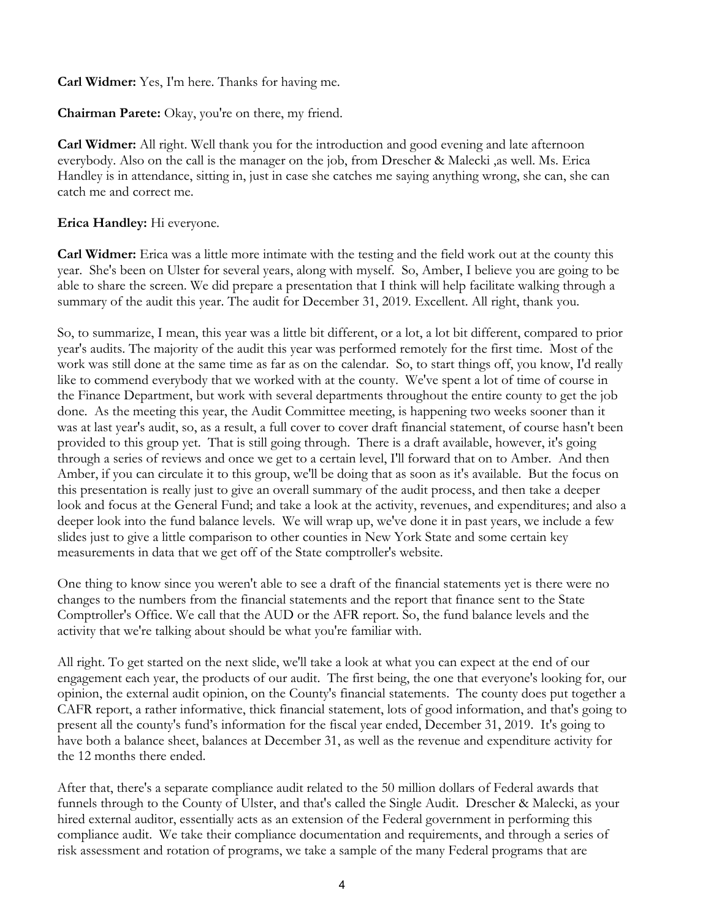**Carl Widmer:** Yes, I'm here. Thanks for having me.

**Chairman Parete:** Okay, you're on there, my friend.

**Carl Widmer:** All right. Well thank you for the introduction and good evening and late afternoon everybody. Also on the call is the manager on the job, from Drescher & Malecki ,as well. Ms. Erica Handley is in attendance, sitting in, just in case she catches me saying anything wrong, she can, she can catch me and correct me.

**Erica Handley:** Hi everyone.

**Carl Widmer:** Erica was a little more intimate with the testing and the field work out at the county this year. She's been on Ulster for several years, along with myself. So, Amber, I believe you are going to be able to share the screen. We did prepare a presentation that I think will help facilitate walking through a summary of the audit this year. The audit for December 31, 2019. Excellent. All right, thank you.

So, to summarize, I mean, this year was a little bit different, or a lot, a lot bit different, compared to prior year's audits. The majority of the audit this year was performed remotely for the first time. Most of the work was still done at the same time as far as on the calendar. So, to start things off, you know, I'd really like to commend everybody that we worked with at the county. We've spent a lot of time of course in the Finance Department, but work with several departments throughout the entire county to get the job done. As the meeting this year, the Audit Committee meeting, is happening two weeks sooner than it was at last year's audit, so, as a result, a full cover to cover draft financial statement, of course hasn't been provided to this group yet. That is still going through. There is a draft available, however, it's going through a series of reviews and once we get to a certain level, I'll forward that on to Amber. And then Amber, if you can circulate it to this group, we'll be doing that as soon as it's available. But the focus on this presentation is really just to give an overall summary of the audit process, and then take a deeper look and focus at the General Fund; and take a look at the activity, revenues, and expenditures; and also a deeper look into the fund balance levels. We will wrap up, we've done it in past years, we include a few slides just to give a little comparison to other counties in New York State and some certain key measurements in data that we get off of the State comptroller's website.

One thing to know since you weren't able to see a draft of the financial statements yet is there were no changes to the numbers from the financial statements and the report that finance sent to the State Comptroller's Office. We call that the AUD or the AFR report. So, the fund balance levels and the activity that we're talking about should be what you're familiar with.

All right. To get started on the next slide, we'll take a look at what you can expect at the end of our engagement each year, the products of our audit. The first being, the one that everyone's looking for, our opinion, the external audit opinion, on the County's financial statements. The county does put together a CAFR report, a rather informative, thick financial statement, lots of good information, and that's going to present all the county's fund's information for the fiscal year ended, December 31, 2019. It's going to have both a balance sheet, balances at December 31, as well as the revenue and expenditure activity for the 12 months there ended.

After that, there's a separate compliance audit related to the 50 million dollars of Federal awards that funnels through to the County of Ulster, and that's called the Single Audit. Drescher & Malecki, as your hired external auditor, essentially acts as an extension of the Federal government in performing this compliance audit. We take their compliance documentation and requirements, and through a series of risk assessment and rotation of programs, we take a sample of the many Federal programs that are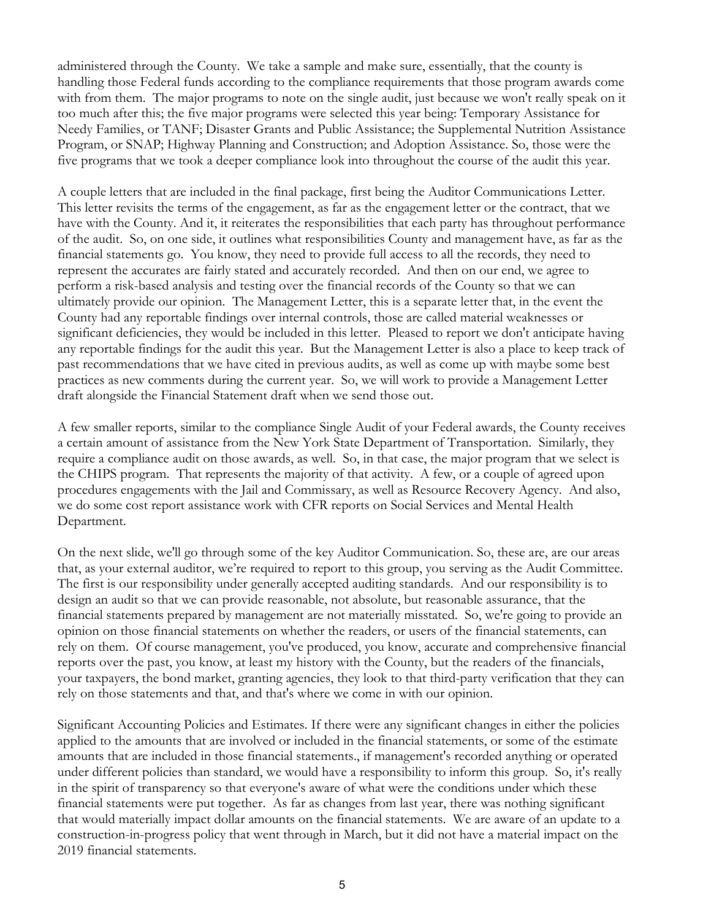administered through the County. We take a sample and make sure, essentially, that the county is handling those Federal funds according to the compliance requirements that those program awards come with from them. The major programs to note on the single audit, just because we won't really speak on it too much after this; the five major programs were selected this year being: Temporary Assistance for Needy Families, or TANF; Disaster Grants and Public Assistance; the Supplemental Nutrition Assistance Program, or SNAP; Highway Planning and Construction; and Adoption Assistance. So, those were the five programs that we took a deeper compliance look into throughout the course of the audit this year.

A couple letters that are included in the final package, first being the Auditor Communications Letter. This letter revisits the terms of the engagement, as far as the engagement letter or the contract, that we have with the County. And it, it reiterates the responsibilities that each party has throughout performance of the audit. So, on one side, it outlines what responsibilities County and management have, as far as the financial statements go. You know, they need to provide full access to all the records, they need to represent the accurates are fairly stated and accurately recorded. And then on our end, we agree to perform a risk-based analysis and testing over the financial records of the County so that we can ultimately provide our opinion. The Management Letter, this is a separate letter that, in the event the County had any reportable findings over internal controls, those are called material weaknesses or significant deficiencies, they would be included in this letter. Pleased to report we don't anticipate having any reportable findings for the audit this year. But the Management Letter is also a place to keep track of past recommendations that we have cited in previous audits, as well as come up with maybe some best practices as new comments during the current year. So, we will work to provide a Management Letter draft alongside the Financial Statement draft when we send those out.

A few smaller reports, similar to the compliance Single Audit of your Federal awards, the County receives a certain amount of assistance from the New York State Department of Transportation. Similarly, they require a compliance audit on those awards, as well. So, in that case, the major program that we select is the CHIPS program. That represents the majority of that activity. A few, or a couple of agreed upon procedures engagements with the Jail and Commissary, as well as Resource Recovery Agency. And also, we do some cost report assistance work with CFR reports on Social Services and Mental Health Department.

On the next slide, we'll go through some of the key Auditor Communication. So, these are, are our areas that, as your external auditor, we're required to report to this group, you serving as the Audit Committee. The first is our responsibility under generally accepted auditing standards. And our responsibility is to design an audit so that we can provide reasonable, not absolute, but reasonable assurance, that the financial statements prepared by management are not materially misstated. So, we're going to provide an opinion on those financial statements on whether the readers, or users of the financial statements, can rely on them. Of course management, you've produced, you know, accurate and comprehensive financial reports over the past, you know, at least my history with the County, but the readers of the financials, your taxpayers, the bond market, granting agencies, they look to that third-party verification that they can rely on those statements and that, and that's where we come in with our opinion.

Significant Accounting Policies and Estimates. If there were any significant changes in either the policies applied to the amounts that are involved or included in the financial statements, or some of the estimate amounts that are included in those financial statements., if management's recorded anything or operated under different policies than standard, we would have a responsibility to inform this group. So, it's really in the spirit of transparency so that everyone's aware of what were the conditions under which these financial statements were put together. As far as changes from last year, there was nothing significant that would materially impact dollar amounts on the financial statements. We are aware of an update to a construction-in-progress policy that went through in March, but it did not have a material impact on the 2019 financial statements.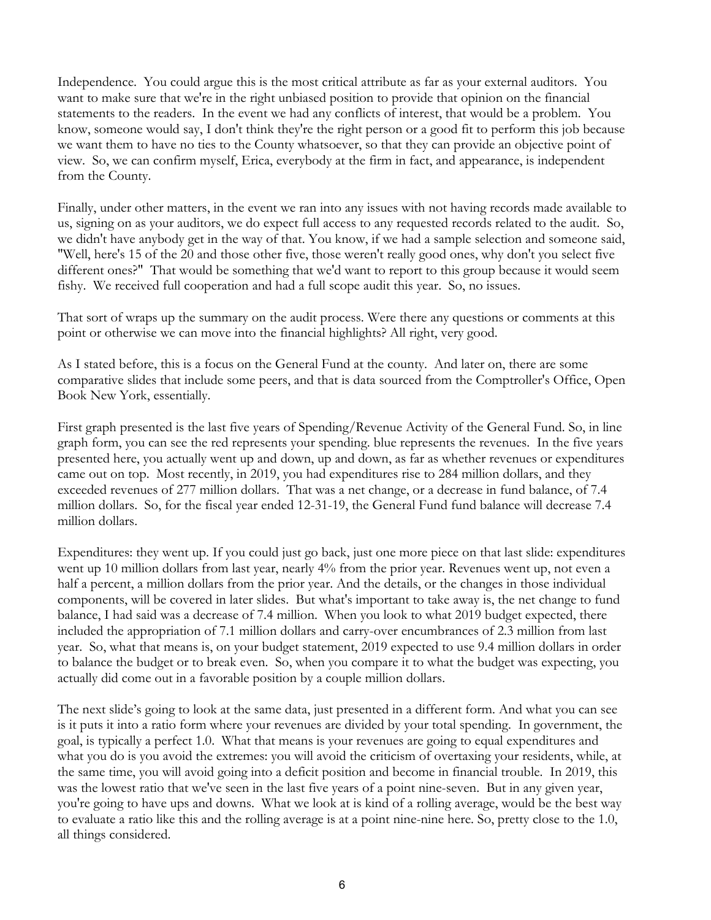Independence. You could argue this is the most critical attribute as far as your external auditors. You want to make sure that we're in the right unbiased position to provide that opinion on the financial statements to the readers. In the event we had any conflicts of interest, that would be a problem. You know, someone would say, I don't think they're the right person or a good fit to perform this job because we want them to have no ties to the County whatsoever, so that they can provide an objective point of view. So, we can confirm myself, Erica, everybody at the firm in fact, and appearance, is independent from the County.

Finally, under other matters, in the event we ran into any issues with not having records made available to us, signing on as your auditors, we do expect full access to any requested records related to the audit. So, we didn't have anybody get in the way of that. You know, if we had a sample selection and someone said, "Well, here's 15 of the 20 and those other five, those weren't really good ones, why don't you select five different ones?" That would be something that we'd want to report to this group because it would seem fishy. We received full cooperation and had a full scope audit this year. So, no issues.

That sort of wraps up the summary on the audit process. Were there any questions or comments at this point or otherwise we can move into the financial highlights? All right, very good.

As I stated before, this is a focus on the General Fund at the county. And later on, there are some comparative slides that include some peers, and that is data sourced from the Comptroller's Office, Open Book New York, essentially.

First graph presented is the last five years of Spending/Revenue Activity of the General Fund. So, in line graph form, you can see the red represents your spending. blue represents the revenues. In the five years presented here, you actually went up and down, up and down, as far as whether revenues or expenditures came out on top. Most recently, in 2019, you had expenditures rise to 284 million dollars, and they exceeded revenues of 277 million dollars. That was a net change, or a decrease in fund balance, of 7.4 million dollars. So, for the fiscal year ended 12-31-19, the General Fund fund balance will decrease 7.4 million dollars.

Expenditures: they went up. If you could just go back, just one more piece on that last slide: expenditures went up 10 million dollars from last year, nearly 4% from the prior year. Revenues went up, not even a half a percent, a million dollars from the prior year. And the details, or the changes in those individual components, will be covered in later slides. But what's important to take away is, the net change to fund balance, I had said was a decrease of 7.4 million. When you look to what 2019 budget expected, there included the appropriation of 7.1 million dollars and carry-over encumbrances of 2.3 million from last year. So, what that means is, on your budget statement, 2019 expected to use 9.4 million dollars in order to balance the budget or to break even. So, when you compare it to what the budget was expecting, you actually did come out in a favorable position by a couple million dollars.

The next slide's going to look at the same data, just presented in a different form. And what you can see is it puts it into a ratio form where your revenues are divided by your total spending. In government, the goal, is typically a perfect 1.0. What that means is your revenues are going to equal expenditures and what you do is you avoid the extremes: you will avoid the criticism of overtaxing your residents, while, at the same time, you will avoid going into a deficit position and become in financial trouble. In 2019, this was the lowest ratio that we've seen in the last five years of a point nine-seven. But in any given year, you're going to have ups and downs. What we look at is kind of a rolling average, would be the best way to evaluate a ratio like this and the rolling average is at a point nine-nine here. So, pretty close to the 1.0, all things considered.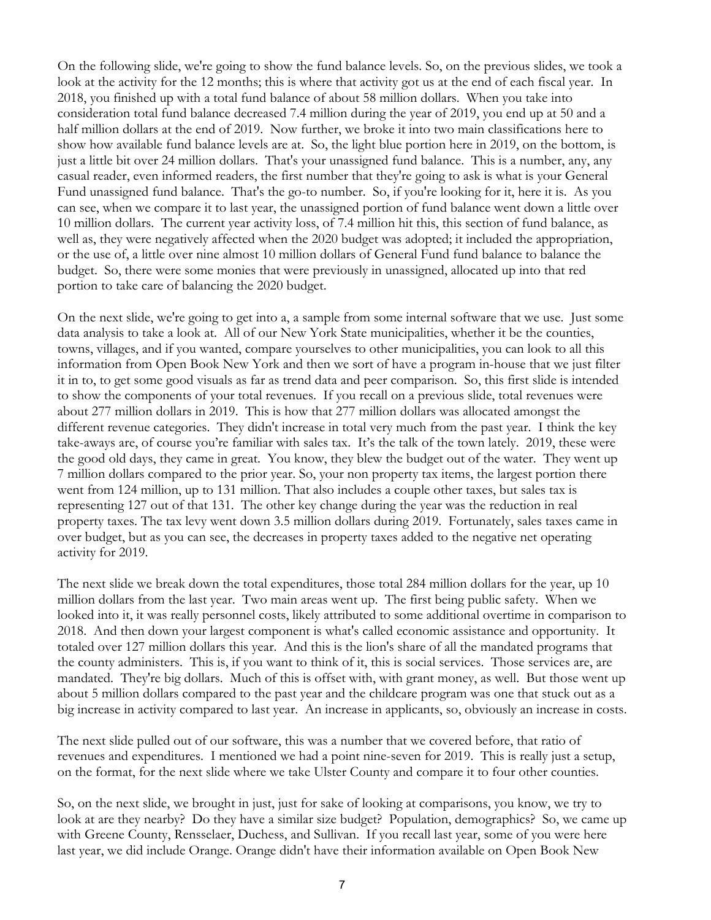On the following slide, we're going to show the fund balance levels. So, on the previous slides, we took a look at the activity for the 12 months; this is where that activity got us at the end of each fiscal year. In 2018, you finished up with a total fund balance of about 58 million dollars. When you take into consideration total fund balance decreased 7.4 million during the year of 2019, you end up at 50 and a half million dollars at the end of 2019. Now further, we broke it into two main classifications here to show how available fund balance levels are at. So, the light blue portion here in 2019, on the bottom, is just a little bit over 24 million dollars. That's your unassigned fund balance. This is a number, any, any casual reader, even informed readers, the first number that they're going to ask is what is your General Fund unassigned fund balance. That's the go-to number. So, if you're looking for it, here it is. As you can see, when we compare it to last year, the unassigned portion of fund balance went down a little over 10 million dollars. The current year activity loss, of 7.4 million hit this, this section of fund balance, as well as, they were negatively affected when the 2020 budget was adopted; it included the appropriation, or the use of, a little over nine almost 10 million dollars of General Fund fund balance to balance the budget. So, there were some monies that were previously in unassigned, allocated up into that red portion to take care of balancing the 2020 budget.

On the next slide, we're going to get into a, a sample from some internal software that we use. Just some data analysis to take a look at. All of our New York State municipalities, whether it be the counties, towns, villages, and if you wanted, compare yourselves to other municipalities, you can look to all this information from Open Book New York and then we sort of have a program in-house that we just filter it in to, to get some good visuals as far as trend data and peer comparison. So, this first slide is intended to show the components of your total revenues. If you recall on a previous slide, total revenues were about 277 million dollars in 2019. This is how that 277 million dollars was allocated amongst the different revenue categories. They didn't increase in total very much from the past year. I think the key take-aways are, of course you're familiar with sales tax. It's the talk of the town lately. 2019, these were the good old days, they came in great. You know, they blew the budget out of the water. They went up 7 million dollars compared to the prior year. So, your non property tax items, the largest portion there went from 124 million, up to 131 million. That also includes a couple other taxes, but sales tax is representing 127 out of that 131. The other key change during the year was the reduction in real property taxes. The tax levy went down 3.5 million dollars during 2019. Fortunately, sales taxes came in over budget, but as you can see, the decreases in property taxes added to the negative net operating activity for 2019.

The next slide we break down the total expenditures, those total 284 million dollars for the year, up 10 million dollars from the last year. Two main areas went up. The first being public safety. When we looked into it, it was really personnel costs, likely attributed to some additional overtime in comparison to 2018. And then down your largest component is what's called economic assistance and opportunity. It totaled over 127 million dollars this year. And this is the lion's share of all the mandated programs that the county administers. This is, if you want to think of it, this is social services. Those services are, are mandated. They're big dollars. Much of this is offset with, with grant money, as well. But those went up about 5 million dollars compared to the past year and the childcare program was one that stuck out as a big increase in activity compared to last year. An increase in applicants, so, obviously an increase in costs.

The next slide pulled out of our software, this was a number that we covered before, that ratio of revenues and expenditures. I mentioned we had a point nine-seven for 2019. This is really just a setup, on the format, for the next slide where we take Ulster County and compare it to four other counties.

So, on the next slide, we brought in just, just for sake of looking at comparisons, you know, we try to look at are they nearby? Do they have a similar size budget? Population, demographics? So, we came up with Greene County, Rensselaer, Duchess, and Sullivan. If you recall last year, some of you were here last year, we did include Orange. Orange didn't have their information available on Open Book New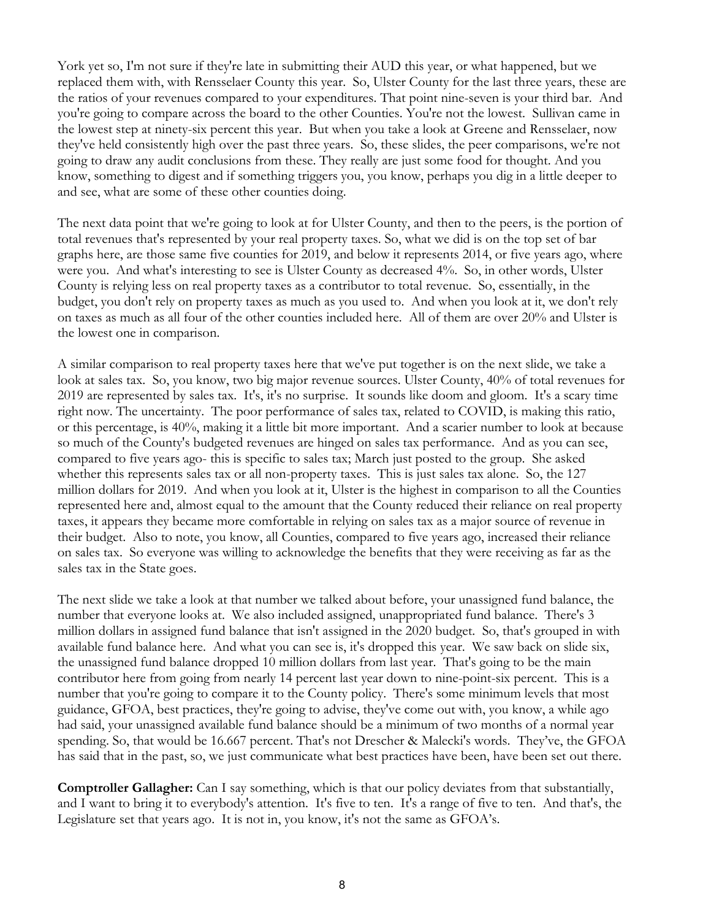York yet so, I'm not sure if they're late in submitting their AUD this year, or what happened, but we replaced them with, with Rensselaer County this year. So, Ulster County for the last three years, these are the ratios of your revenues compared to your expenditures. That point nine-seven is your third bar. And you're going to compare across the board to the other Counties. You're not the lowest. Sullivan came in the lowest step at ninety-six percent this year. But when you take a look at Greene and Rensselaer, now they've held consistently high over the past three years. So, these slides, the peer comparisons, we're not going to draw any audit conclusions from these. They really are just some food for thought. And you know, something to digest and if something triggers you, you know, perhaps you dig in a little deeper to and see, what are some of these other counties doing.

The next data point that we're going to look at for Ulster County, and then to the peers, is the portion of total revenues that's represented by your real property taxes. So, what we did is on the top set of bar graphs here, are those same five counties for 2019, and below it represents 2014, or five years ago, where were you. And what's interesting to see is Ulster County as decreased 4%. So, in other words, Ulster County is relying less on real property taxes as a contributor to total revenue. So, essentially, in the budget, you don't rely on property taxes as much as you used to. And when you look at it, we don't rely on taxes as much as all four of the other counties included here. All of them are over 20% and Ulster is the lowest one in comparison.

A similar comparison to real property taxes here that we've put together is on the next slide, we take a look at sales tax. So, you know, two big major revenue sources. Ulster County, 40% of total revenues for 2019 are represented by sales tax. It's, it's no surprise. It sounds like doom and gloom. It's a scary time right now. The uncertainty. The poor performance of sales tax, related to COVID, is making this ratio, or this percentage, is 40%, making it a little bit more important. And a scarier number to look at because so much of the County's budgeted revenues are hinged on sales tax performance. And as you can see, compared to five years ago- this is specific to sales tax; March just posted to the group. She asked whether this represents sales tax or all non-property taxes. This is just sales tax alone. So, the 127 million dollars for 2019. And when you look at it, Ulster is the highest in comparison to all the Counties represented here and, almost equal to the amount that the County reduced their reliance on real property taxes, it appears they became more comfortable in relying on sales tax as a major source of revenue in their budget. Also to note, you know, all Counties, compared to five years ago, increased their reliance on sales tax. So everyone was willing to acknowledge the benefits that they were receiving as far as the sales tax in the State goes.

The next slide we take a look at that number we talked about before, your unassigned fund balance, the number that everyone looks at. We also included assigned, unappropriated fund balance. There's 3 million dollars in assigned fund balance that isn't assigned in the 2020 budget. So, that's grouped in with available fund balance here. And what you can see is, it's dropped this year. We saw back on slide six, the unassigned fund balance dropped 10 million dollars from last year. That's going to be the main contributor here from going from nearly 14 percent last year down to nine-point-six percent. This is a number that you're going to compare it to the County policy. There's some minimum levels that most guidance, GFOA, best practices, they're going to advise, they've come out with, you know, a while ago had said, your unassigned available fund balance should be a minimum of two months of a normal year spending. So, that would be 16.667 percent. That's not Drescher & Malecki's words. They've, the GFOA has said that in the past, so, we just communicate what best practices have been, have been set out there.

**Comptroller Gallagher:** Can I say something, which is that our policy deviates from that substantially, and I want to bring it to everybody's attention. It's five to ten. It's a range of five to ten. And that's, the Legislature set that years ago. It is not in, you know, it's not the same as GFOA's.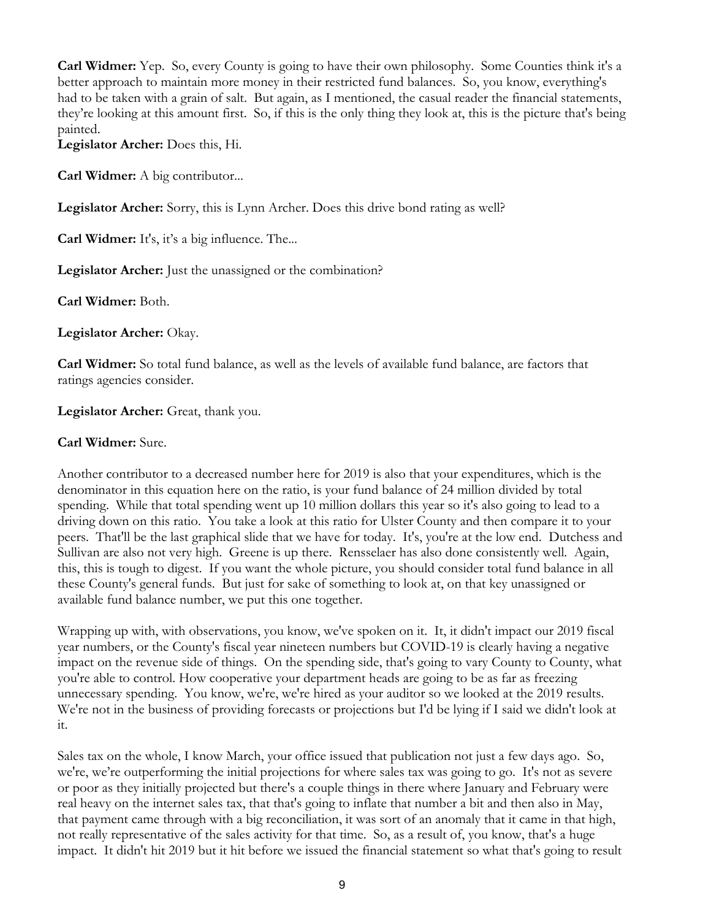**Carl Widmer:** Yep. So, every County is going to have their own philosophy. Some Counties think it's a better approach to maintain more money in their restricted fund balances. So, you know, everything's had to be taken with a grain of salt. But again, as I mentioned, the casual reader the financial statements, they're looking at this amount first. So, if this is the only thing they look at, this is the picture that's being painted.

**Legislator Archer:** Does this, Hi.

**Carl Widmer:** A big contributor...

**Legislator Archer:** Sorry, this is Lynn Archer. Does this drive bond rating as well?

**Carl Widmer:** It's, it's a big influence. The...

Legislator Archer: Just the unassigned or the combination?

**Carl Widmer:** Both.

**Legislator Archer:** Okay.

**Carl Widmer:** So total fund balance, as well as the levels of available fund balance, are factors that ratings agencies consider.

Legislator Archer: Great, thank you.

### **Carl Widmer:** Sure.

Another contributor to a decreased number here for 2019 is also that your expenditures, which is the denominator in this equation here on the ratio, is your fund balance of 24 million divided by total spending. While that total spending went up 10 million dollars this year so it's also going to lead to a driving down on this ratio. You take a look at this ratio for Ulster County and then compare it to your peers. That'll be the last graphical slide that we have for today. It's, you're at the low end. Dutchess and Sullivan are also not very high. Greene is up there. Rensselaer has also done consistently well. Again, this, this is tough to digest. If you want the whole picture, you should consider total fund balance in all these County's general funds. But just for sake of something to look at, on that key unassigned or available fund balance number, we put this one together.

Wrapping up with, with observations, you know, we've spoken on it. It, it didn't impact our 2019 fiscal year numbers, or the County's fiscal year nineteen numbers but COVID-19 is clearly having a negative impact on the revenue side of things. On the spending side, that's going to vary County to County, what you're able to control. How cooperative your department heads are going to be as far as freezing unnecessary spending. You know, we're, we're hired as your auditor so we looked at the 2019 results. We're not in the business of providing forecasts or projections but I'd be lying if I said we didn't look at it.

Sales tax on the whole, I know March, your office issued that publication not just a few days ago. So, we're, we're outperforming the initial projections for where sales tax was going to go. It's not as severe or poor as they initially projected but there's a couple things in there where January and February were real heavy on the internet sales tax, that that's going to inflate that number a bit and then also in May, that payment came through with a big reconciliation, it was sort of an anomaly that it came in that high, not really representative of the sales activity for that time. So, as a result of, you know, that's a huge impact. It didn't hit 2019 but it hit before we issued the financial statement so what that's going to result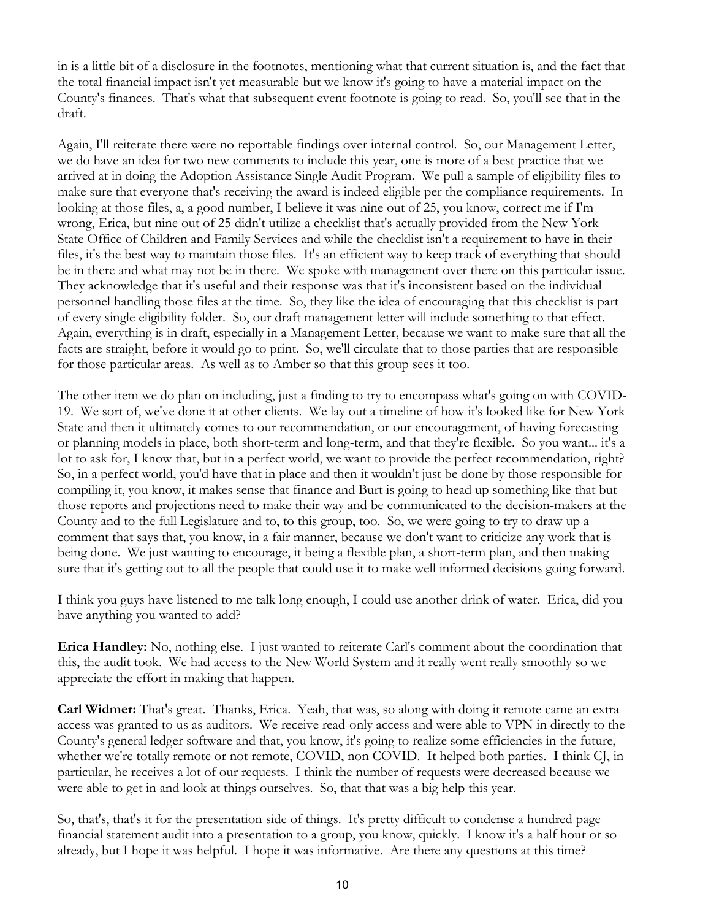in is a little bit of a disclosure in the footnotes, mentioning what that current situation is, and the fact that the total financial impact isn't yet measurable but we know it's going to have a material impact on the County's finances. That's what that subsequent event footnote is going to read. So, you'll see that in the draft.

Again, I'll reiterate there were no reportable findings over internal control. So, our Management Letter, we do have an idea for two new comments to include this year, one is more of a best practice that we arrived at in doing the Adoption Assistance Single Audit Program. We pull a sample of eligibility files to make sure that everyone that's receiving the award is indeed eligible per the compliance requirements. In looking at those files, a, a good number, I believe it was nine out of 25, you know, correct me if I'm wrong, Erica, but nine out of 25 didn't utilize a checklist that's actually provided from the New York State Office of Children and Family Services and while the checklist isn't a requirement to have in their files, it's the best way to maintain those files. It's an efficient way to keep track of everything that should be in there and what may not be in there. We spoke with management over there on this particular issue. They acknowledge that it's useful and their response was that it's inconsistent based on the individual personnel handling those files at the time. So, they like the idea of encouraging that this checklist is part of every single eligibility folder. So, our draft management letter will include something to that effect. Again, everything is in draft, especially in a Management Letter, because we want to make sure that all the facts are straight, before it would go to print. So, we'll circulate that to those parties that are responsible for those particular areas. As well as to Amber so that this group sees it too.

The other item we do plan on including, just a finding to try to encompass what's going on with COVID-19. We sort of, we've done it at other clients. We lay out a timeline of how it's looked like for New York State and then it ultimately comes to our recommendation, or our encouragement, of having forecasting or planning models in place, both short-term and long-term, and that they're flexible. So you want... it's a lot to ask for, I know that, but in a perfect world, we want to provide the perfect recommendation, right? So, in a perfect world, you'd have that in place and then it wouldn't just be done by those responsible for compiling it, you know, it makes sense that finance and Burt is going to head up something like that but those reports and projections need to make their way and be communicated to the decision-makers at the County and to the full Legislature and to, to this group, too. So, we were going to try to draw up a comment that says that, you know, in a fair manner, because we don't want to criticize any work that is being done. We just wanting to encourage, it being a flexible plan, a short-term plan, and then making sure that it's getting out to all the people that could use it to make well informed decisions going forward.

I think you guys have listened to me talk long enough, I could use another drink of water. Erica, did you have anything you wanted to add?

**Erica Handley:** No, nothing else. I just wanted to reiterate Carl's comment about the coordination that this, the audit took. We had access to the New World System and it really went really smoothly so we appreciate the effort in making that happen.

**Carl Widmer:** That's great. Thanks, Erica. Yeah, that was, so along with doing it remote came an extra access was granted to us as auditors. We receive read-only access and were able to VPN in directly to the County's general ledger software and that, you know, it's going to realize some efficiencies in the future, whether we're totally remote or not remote, COVID, non COVID. It helped both parties. I think CJ, in particular, he receives a lot of our requests. I think the number of requests were decreased because we were able to get in and look at things ourselves. So, that that was a big help this year.

So, that's, that's it for the presentation side of things. It's pretty difficult to condense a hundred page financial statement audit into a presentation to a group, you know, quickly. I know it's a half hour or so already, but I hope it was helpful. I hope it was informative. Are there any questions at this time?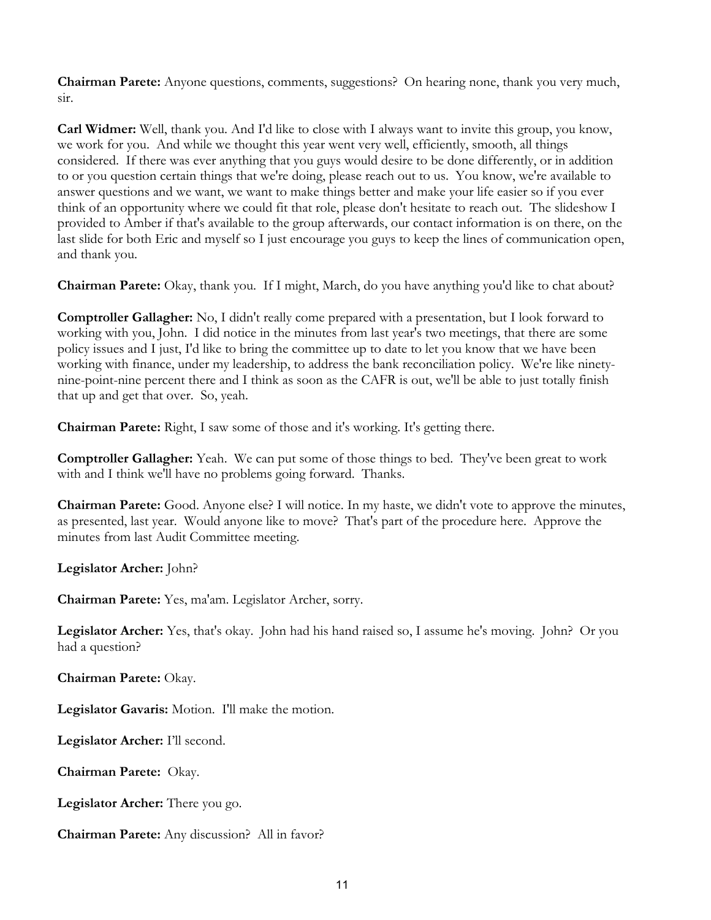**Chairman Parete:** Anyone questions, comments, suggestions? On hearing none, thank you very much, sir.

**Carl Widmer:** Well, thank you. And I'd like to close with I always want to invite this group, you know, we work for you. And while we thought this year went very well, efficiently, smooth, all things considered. If there was ever anything that you guys would desire to be done differently, or in addition to or you question certain things that we're doing, please reach out to us. You know, we're available to answer questions and we want, we want to make things better and make your life easier so if you ever think of an opportunity where we could fit that role, please don't hesitate to reach out. The slideshow I provided to Amber if that's available to the group afterwards, our contact information is on there, on the last slide for both Eric and myself so I just encourage you guys to keep the lines of communication open, and thank you.

**Chairman Parete:** Okay, thank you. If I might, March, do you have anything you'd like to chat about?

**Comptroller Gallagher:** No, I didn't really come prepared with a presentation, but I look forward to working with you, John. I did notice in the minutes from last year's two meetings, that there are some policy issues and I just, I'd like to bring the committee up to date to let you know that we have been working with finance, under my leadership, to address the bank reconciliation policy. We're like ninetynine-point-nine percent there and I think as soon as the CAFR is out, we'll be able to just totally finish that up and get that over. So, yeah.

**Chairman Parete:** Right, I saw some of those and it's working. It's getting there.

**Comptroller Gallagher:** Yeah. We can put some of those things to bed. They've been great to work with and I think we'll have no problems going forward. Thanks.

**Chairman Parete:** Good. Anyone else? I will notice. In my haste, we didn't vote to approve the minutes, as presented, last year. Would anyone like to move? That's part of the procedure here. Approve the minutes from last Audit Committee meeting.

**Legislator Archer:** John?

**Chairman Parete:** Yes, ma'am. Legislator Archer, sorry.

**Legislator Archer:** Yes, that's okay. John had his hand raised so, I assume he's moving. John? Or you had a question?

**Chairman Parete:** Okay.

**Legislator Gavaris:** Motion. I'll make the motion.

**Legislator Archer:** I'll second.

**Chairman Parete:** Okay.

**Legislator Archer:** There you go.

**Chairman Parete:** Any discussion? All in favor?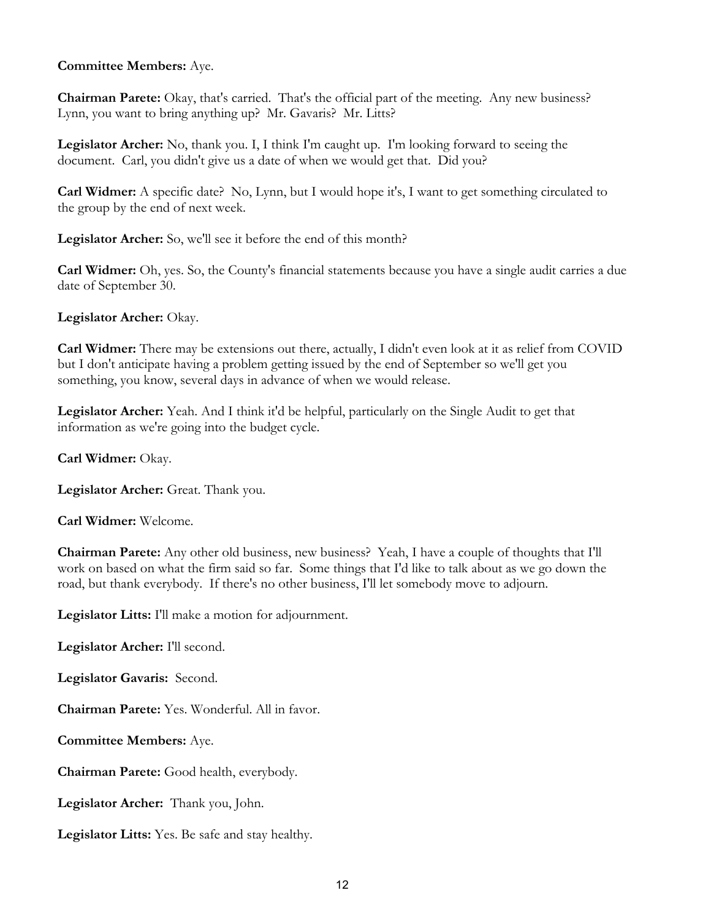## **Committee Members:** Aye.

**Chairman Parete:** Okay, that's carried. That's the official part of the meeting. Any new business? Lynn, you want to bring anything up? Mr. Gavaris? Mr. Litts?

**Legislator Archer:** No, thank you. I, I think I'm caught up. I'm looking forward to seeing the document. Carl, you didn't give us a date of when we would get that. Did you?

**Carl Widmer:** A specific date? No, Lynn, but I would hope it's, I want to get something circulated to the group by the end of next week.

**Legislator Archer:** So, we'll see it before the end of this month?

**Carl Widmer:** Oh, yes. So, the County's financial statements because you have a single audit carries a due date of September 30.

**Legislator Archer:** Okay.

**Carl Widmer:** There may be extensions out there, actually, I didn't even look at it as relief from COVID but I don't anticipate having a problem getting issued by the end of September so we'll get you something, you know, several days in advance of when we would release.

**Legislator Archer:** Yeah. And I think it'd be helpful, particularly on the Single Audit to get that information as we're going into the budget cycle.

**Carl Widmer:** Okay.

Legislator Archer: Great. Thank you.

**Carl Widmer:** Welcome.

**Chairman Parete:** Any other old business, new business? Yeah, I have a couple of thoughts that I'll work on based on what the firm said so far. Some things that I'd like to talk about as we go down the road, but thank everybody. If there's no other business, I'll let somebody move to adjourn.

**Legislator Litts:** I'll make a motion for adjournment.

**Legislator Archer:** I'll second.

**Legislator Gavaris:** Second.

**Chairman Parete:** Yes. Wonderful. All in favor.

**Committee Members:** Aye.

**Chairman Parete:** Good health, everybody.

**Legislator Archer:** Thank you, John.

**Legislator Litts:** Yes. Be safe and stay healthy.